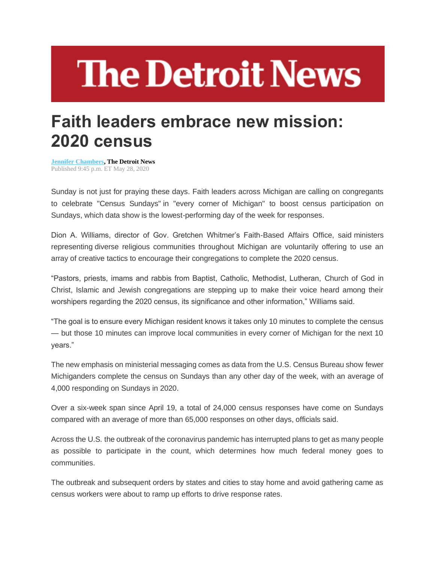## **The Detroit News**

## **Faith leaders embrace new mission: 2020 census**

**[Jennifer Chambers,](http://www.detroitnews.com/staff/2647563001/jennifer-chambers/) The Detroit News** Published 9:45 p.m. ET May 28, 2020

Sunday is not just for praying these days. Faith leaders across Michigan are calling on congregants to celebrate "Census Sundays" in "every corner of Michigan" to boost census participation on Sundays, which data show is the lowest-performing day of the week for responses.

Dion A. Williams, director of Gov. Gretchen Whitmer's Faith-Based Affairs Office, said ministers representing diverse religious communities throughout Michigan are voluntarily offering to use an array of creative tactics to encourage their congregations to complete the 2020 census.

"Pastors, priests, imams and rabbis from Baptist, Catholic, Methodist, Lutheran, Church of God in Christ, Islamic and Jewish congregations are stepping up to make their voice heard among their worshipers regarding the 2020 census, its significance and other information," Williams said.

"The goal is to ensure every Michigan resident knows it takes only 10 minutes to complete the census — but those 10 minutes can improve local communities in every corner of Michigan for the next 10 years."

The new emphasis on ministerial messaging comes as data from the U.S. Census Bureau show fewer Michiganders complete the census on Sundays than any other day of the week, with an average of 4,000 responding on Sundays in 2020.

Over a six-week span since April 19, a total of 24,000 census responses have come on Sundays compared with an average of more than 65,000 responses on other days, officials said.

Across the U.S. the outbreak of the coronavirus pandemic has interrupted plans to get as many people as possible to participate in the count, which determines how much federal money goes to communities.

The outbreak and subsequent orders by states and cities to stay home and avoid gathering came as census workers were about to ramp up efforts to drive response rates.